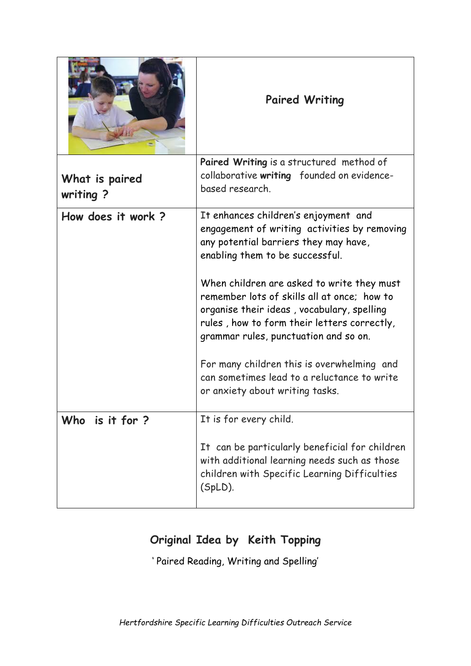|                             | <b>Paired Writing</b>                                                                                                                                                                                                                                                                                                                                                                                                                                                                                                               |  |
|-----------------------------|-------------------------------------------------------------------------------------------------------------------------------------------------------------------------------------------------------------------------------------------------------------------------------------------------------------------------------------------------------------------------------------------------------------------------------------------------------------------------------------------------------------------------------------|--|
| What is paired<br>writing ? | Paired Writing is a structured method of<br>collaborative writing founded on evidence-<br>based research.                                                                                                                                                                                                                                                                                                                                                                                                                           |  |
| How does it work?           | It enhances children's enjoyment and<br>engagement of writing activities by removing<br>any potential barriers they may have,<br>enabling them to be successful.<br>When children are asked to write they must<br>remember lots of skills all at once: how to<br>organise their ideas, vocabulary, spelling<br>rules, how to form their letters correctly,<br>grammar rules, punctuation and so on.<br>For many children this is overwhelming and<br>can sometimes lead to a reluctance to write<br>or anxiety about writing tasks. |  |
| Who is it for ?             | It is for every child.<br>It can be particularly beneficial for children<br>with additional learning needs such as those<br>children with Specific Learning Difficulties<br>(SpLD).                                                                                                                                                                                                                                                                                                                                                 |  |

## **Original Idea by Keith Topping**

' Paired Reading, Writing and Spelling'